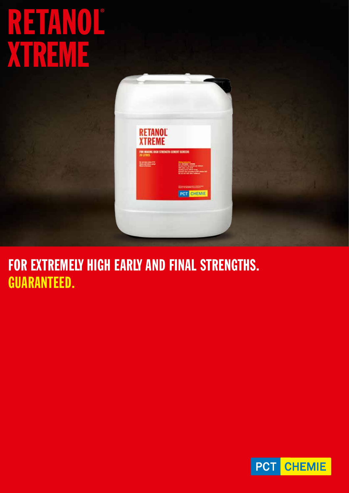# RETANOL® XTREME



FOR EXTREMELY HIGH EARLY AND FINAL STRENGTHS. GUARANTEED.

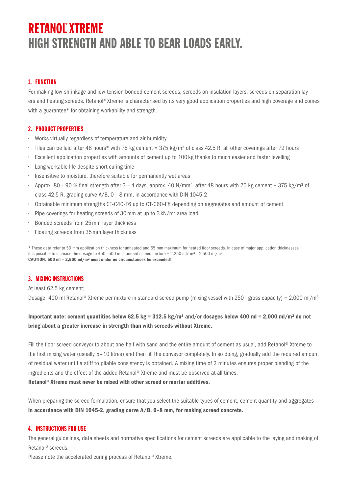# RETANOL® XTREME HIGH STRENGTH AND ABLE TO BEAR LOADS EARLY.

# 1. FUNCTION

For making low-shrinkage and low-tension bonded cement screeds, screeds on insulation layers, screeds on separation layers and heating screeds. Retanol®Xtreme is characterised by its very good application properties and high coverage and comes with a guarantee\* for obtaining workability and strength.

### 2. PRODUCT PROPERTIES

- Works virtually regardless of temperature and air humidity
- $\cdot$  Tiles can be laid after 48 hours\* with 75 kg cement = 375 kg/m<sup>3</sup> of class 42.5 R, all other coverings after 72 hours
- Excellent application properties with amounts of cement up to 100kg thanks to much easier and faster levelling
- Long workable life despite short curing time
- Insensitive to moisture, therefore suitable for permanently wet areas
- $\cdot$  Approx. 80 90 % final strength after 3 4 days, approx. 40 N/mm<sup>2</sup> after 48 hours with 75 kg cement = 375 kg/m<sup>3</sup> of class 42.5 R, grading curve A/B, 0 – 8 mm, in accordance with DIN 1045-2
- Obtainable minimum strengths CT-C40-F6 up to CT-C60-F8 depending on aggregates and amount of cement
- $\cdot$  Pipe coverings for heating screeds of 30 mm at up to 3 kN/m<sup>2</sup> area load
- Bonded screeds from 25mm layer thickness
- Floating screeds from 35mm layer thickness

\* These data refer to 50 mm application thickness for unheated and 65 mm maximum for heated floor screeds. In case of major application thicknesses it is possible to increase the dosage to 450 – 500 ml standard screed mixture = 2,250 ml/  $m^3$  – 2,500 ml/m<sup>3</sup>. CAUTION: 500 ml = 2,500 ml/m<sup>3</sup> must under no circumstances be exceeded!

#### 3. MIXING INSTRUCTIONS

At least 62.5 kg cement; Dosage: 400 ml Retanol<sup>®</sup> Xtreme per mixture in standard screed pump (mixing vessel with 250 l gross capacity) = 2,000 ml/m<sup>3</sup>

## Important note: cement quantities below 62.5 kg =  $312.5$  kg/m<sup>3</sup> and/or dosages below 400 ml = 2,000 ml/m<sup>3</sup> do not bring about a greater increase in strength than with screeds without Xtreme.

Fill the floor screed conveyor to about one-half with sand and the entire amount of cement as usual, add Retanol® Xtreme to the first mixing water (usually 5–10 litres) and then fill the conveyor completely. In so doing, gradually add the required amount of residual water until a stiff to pliable consistency is obtained. A mixing time of 2 minutes ensures proper blending of the ingredients and the effect of the added Retanol® Xtreme and must be observed at all times.

Retanol®Xtreme must never be mixed with other screed or mortar additives.

When preparing the screed formulation, ensure that you select the suitable types of cement, cement quantity and aggregates in accordance with DIN 1045-2, grading curve A/B, 0–8 mm, for making screed concrete.

#### 4. INSTRUCTIONS FOR USE

The general guidelines, data sheets and normative specifications for cement screeds are applicable to the laying and making of Retanol®screeds.

Please note the accelerated curing process of Retanol® Xtreme.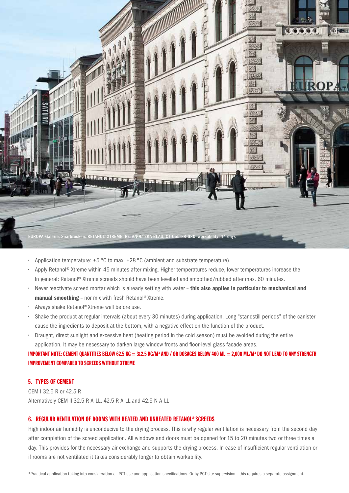

- Application temperature: +5 °C to max. +28 °C (ambient and substrate temperature).
- Apply Retanol® Xtreme within 45 minutes after mixing. Higher temperatures reduce, lower temperatures increase the In general: Retanol® Xtreme screeds should have been levelled and smoothed/rubbed after max. 60 minutes.
- Never reactivate screed mortar which is already setting with water this also applies in particular to mechanical and manual smoothing - nor mix with fresh Retanol® Xtreme.
- Always shake Retanol®Xtreme well before use.
- Shake the product at regular intervals (about every 30 minutes) during application. Long "standstill periods" of the canister cause the ingredients to deposit at the bottom, with a negative effect on the function of the product.
- Draught, direct sunlight and excessive heat (heating period in the cold season) must be avoided during the entire application. It may be necessary to darken large window fronts and floor-level glass facade areas.

# IMPORTANT NOTE: CEMENT QUANTITIES BELOW 62.5 KG = 312.5 KG/M<sup>3</sup> AND / OR DOSAGES BELOW 400 ML = 2,000 ML/M<sup>3</sup> DO NOT LEAD TO ANY STRENGTH IMPROVEMENT COMPARED TO SCREEDS WITHOUT XTREME

#### 5. TYPES OF CEMENT

CEM I 32.5 R or 42.5 R Alternatively CEM II 32.5 R A-LL, 42.5 R A-LL and 42.5 N A-LL

#### 6. REGULAR VENTILATION OF ROOMS WITH HEATED AND UNHEATED RETANOL® SCREEDS

High indoor air humidity is unconducive to the drying process. This is why regular ventilation is necessary from the second day after completion of the screed application. All windows and doors must be opened for 15 to 20 minutes two or three times a day. This provides for the necessary air exchange and supports the drying process. In case of insufficient regular ventilation or if rooms are not ventilated it takes considerably longer to obtain workability.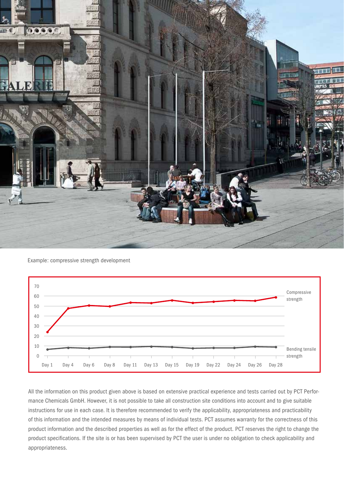

Example: compressive strength development



All the information on this product given above is based on extensive practical experience and tests carried out by PCT Performance Chemicals GmbH. However, it is not possible to take all construction site conditions into account and to give suitable instructions for use in each case. It is therefore recommended to verify the applicability, appropriateness and practicability of this information and the intended measures by means of individual tests. PCT assumes warranty for the correctness of this product information and the described properties as well as for the effect of the product. PCT reserves the right to change the product specifications. If the site is or has been supervised by PCT the user is under no obligation to check applicability and appropriateness.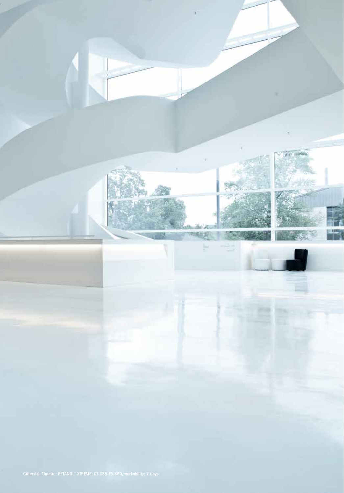